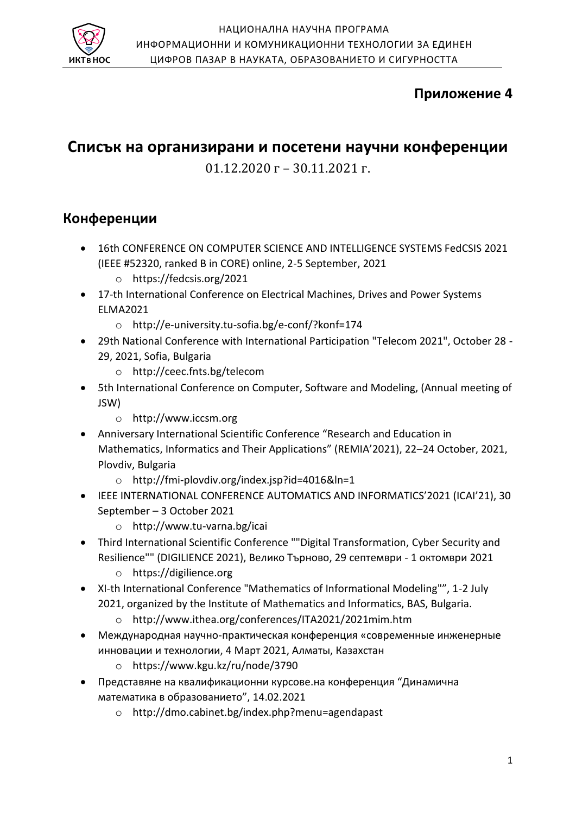

# **Приложение 4**

# **Списък на организирани и посетени научни конференции**

01.12.2020 г – 30.11.2021 г.

### **Конференции**

- 16th CONFERENCE ON COMPUTER SCIENCE AND INTELLIGENCE SYSTEMS FedCSIS 2021 (IEEE #52320, ranked B in CORE) online, 2-5 September, 2021
	- o https://fedcsis.org/2021
- 17-th International Conference on Electrical Machines, Drives and Power Systems ELMA2021
	- o http://e-university.tu-sofia.bg/e-conf/?konf=174
- 29th National Conference with International Participation "Telecom 2021", October 28 29, 2021, Sofia, Bulgaria
	- o http://ceec.fnts.bg/telecom
- 5th International Conference on Computer, Software and Modeling, (Annual meeting of JSW)
	- o http://www.iccsm.org
- Anniversary International Scientific Conference "Research and Education in Mathematics, Informatics and Their Applications" (REMIA'2021), 22–24 October, 2021, Plovdiv, Bulgaria
	- o http://fmi-plovdiv.org/index.jsp?id=4016&ln=1
- IEEE INTERNATIONAL CONFERENCE AUTOMATICS AND INFORMATICS'2021 (ICAI'21), 30 September – 3 October 2021
	- o http://www.tu-varna.bg/icai
- Third International Scientific Conference ""Digital Transformation, Cyber Security and Resilience"" (DIGILIENCE 2021), Велико Търново, 29 септември - 1 октомври 2021
	- o https://digilience.org
- XI-th International Conference "Mathematics of Informational Modeling"", 1-2 July 2021, organized by the Institute of Mathematics and Informatics, BAS, Bulgaria.
	- o http://www.ithea.org/conferences/ITA2021/2021mim.htm
- Международная научно-практическая конференция «современные инженерные инновации и технологии, 4 Март 2021, Алматы, Казахстан
	- o https://www.kgu.kz/ru/node/3790
- Представяне на квалификационни курсове.на конференция "Динамична математика в образованието", 14.02.2021
	- o http://dmo.cabinet.bg/index.php?menu=agendapast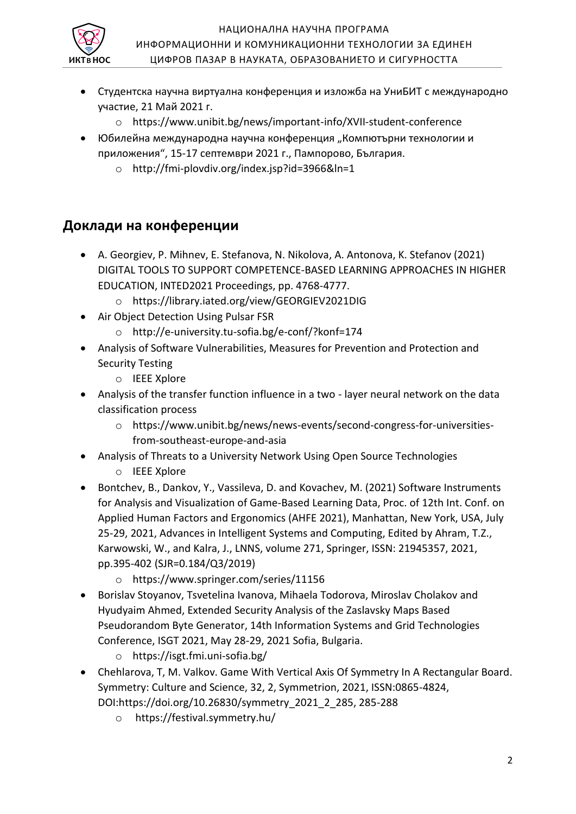

- Студентска научна виртуална конференция и изложба на УниБИТ с международно участие, 21 Май 2021 г.
	- o https://www.unibit.bg/news/important-info/XVII-student-conference
- Юбилейна международна научна конференция "Компютърни технологии и приложения", 15-17 септември 2021 г., Пампорово, България.
	- o http://fmi-plovdiv.org/index.jsp?id=3966&ln=1

# **Доклади на конференции**

- А. Georgiev, P. Mihnev, E. Stefanova, N. Nikolova, A. Antonova, K. Stefanov (2021) DIGITAL TOOLS TO SUPPORT COMPETENCE-BASED LEARNING APPROACHES IN HIGHER EDUCATION, INTED2021 Proceedings, pp. 4768-4777.
	- o https://library.iated.org/view/GEORGIEV2021DIG
- Air Object Detection Using Pulsar FSR
	- o http://e-university.tu-sofia.bg/e-conf/?konf=174
- Analysis of Software Vulnerabilities, Measures for Prevention and Protection and Security Testing
	- o IEEE Xplore
- Analysis of the transfer function influence in a two layer neural network on the data classification process
	- o https://www.unibit.bg/news/news-events/second-congress-for-universitiesfrom-southeast-europe-and-asia
- Analysis of Threats to a University Network Using Open Source Technologies o IEEE Xplore
- Bontchev, B., Dankov, Y., Vassileva, D. and Kovachev, M. (2021) Software Instruments for Analysis and Visualization of Game-Based Learning Data, Proc. of 12th Int. Conf. on Applied Human Factors and Ergonomics (AHFE 2021), Manhattan, New York, USA, July 25-29, 2021, Advances in Intelligent Systems and Computing, Edited by Ahram, T.Z., Karwowski, W., and Kalra, J., LNNS, volume 271, Springer, ISSN: 21945357, 2021, pp.395-402 (SJR=0.184/Q3/2019)
	- o https://www.springer.com/series/11156
- Borislav Stoyanov, Tsvetelina Ivanova, Mihaela Todorova, Miroslav Cholakov and Hyudyaim Ahmed, Extended Security Analysis of the Zaslavsky Maps Based Pseudorandom Byte Generator, 14th Information Systems and Grid Technologies Conference, ISGT 2021, May 28-29, 2021 Sofia, Bulgaria.
	- o https://isgt.fmi.uni-sofia.bg/
- Chehlarova, T, M. Valkov. Game With Vertical Axis Of Symmetry In A Rectangular Board. Symmetry: Culture and Science, 32, 2, Symmetrion, 2021, ISSN:0865-4824, DOI:https://doi.org/10.26830/symmetry\_2021\_2\_285, 285-288
	- o https://festival.symmetry.hu/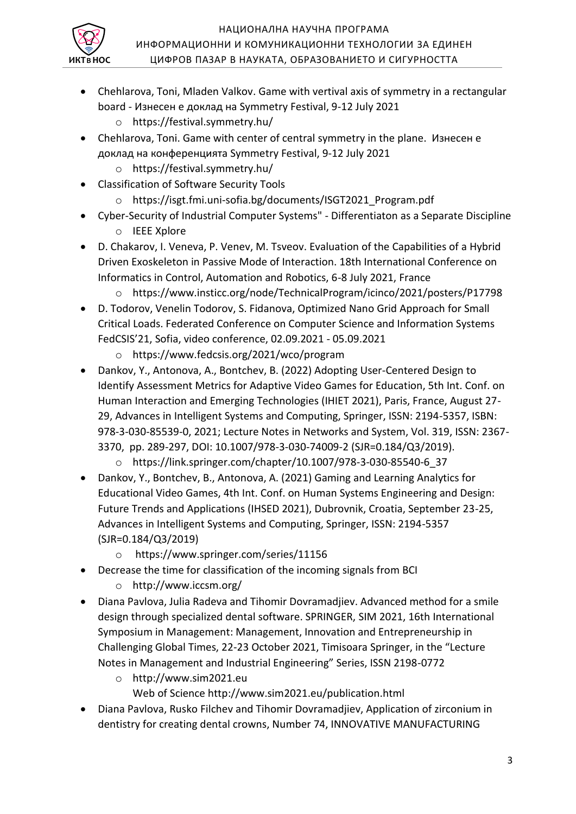

- Chehlarova, Toni, Mladen Valkov. Game with vertival axis of symmetry in a rectangular board - Изнесен е доклад на Symmetry Festival, 9-12 July 2021
	- o https://festival.symmetry.hu/
- Chehlarova, Toni. Game with center of central symmetry in the plane. Изнесен е доклад на конференцията Symmetry Festival, 9-12 July 2021
	- o https://festival.symmetry.hu/
- Classification of Software Security Tools
	- o https://isgt.fmi.uni-sofia.bg/documents/ISGT2021\_Program.pdf
- Cyber-Security of Industrial Computer Systems" Differentiaton as a Separate Discipline o IEEE Xplore
- D. Chakarov, I. Veneva, P. Venev, M. Tsveov. Evaluation of the Capabilities of a Hybrid Driven Exoskeleton in Passive Mode of Interaction. 18th International Conference on Informatics in Control, Automation and Robotics, 6-8 July 2021, France
	- o https://www.insticc.org/node/TechnicalProgram/icinco/2021/posters/P17798
- D. Todorov, Venelin Todorov, S. Fidanova, Optimized Nano Grid Approach for Small Critical Loads. Federated Conference on Computer Science and Information Systems FedCSIS'21, Sofia, video conference, 02.09.2021 - 05.09.2021
	- o https://www.fedcsis.org/2021/wco/program
- Dankov, Y., Antonova, A., Bontchev, B. (2022) Adopting User-Centered Design to Identify Assessment Metrics for Adaptive Video Games for Education, 5th Int. Conf. on Human Interaction and Emerging Technologies (IHIET 2021), Paris, France, August 27- 29, Advances in Intelligent Systems and Computing, Springer, ISSN: 2194-5357, ISBN: 978-3-030-85539-0, 2021; Lecture Notes in Networks and System, Vol. 319, ISSN: 2367- 3370, pp. 289-297, DOI: 10.1007/978-3-030-74009-2 (SJR=0.184/Q3/2019).
	- o https://link.springer.com/chapter/10.1007/978-3-030-85540-6\_37
- Dankov, Y., Bontchev, B., Antonova, A. (2021) Gaming and Learning Analytics for Educational Video Games, 4th Int. Conf. on Human Systems Engineering and Design: Future Trends and Applications (IHSED 2021), Dubrovnik, Croatia, September 23-25, Advances in Intelligent Systems and Computing, Springer, ISSN: 2194-5357 (SJR=0.184/Q3/2019)
	- o https://www.springer.com/series/11156
- Decrease the time for classification of the incoming signals from BCI
	- o http://www.iccsm.org/
- Diana Pavlova, Julia Radeva and Tihomir Dovramadjiev. Advanced method for a smile design through specialized dental software. SPRINGER, SIM 2021, 16th International Symposium in Management: Management, Innovation and Entrepreneurship in Challenging Global Times, 22-23 October 2021, Timisoara Springer, in the "Lecture Notes in Management and Industrial Engineering" Series, ISSN 2198-0772
	- o http://www.sim2021.eu Web of Science http://www.sim2021.eu/publication.html
- Diana Pavlova, Rusko Filchev and Tihomir Dovramadjiev, Application of zirconium in dentistry for creating dental crowns, Number 74, INNOVATIVE MANUFACTURING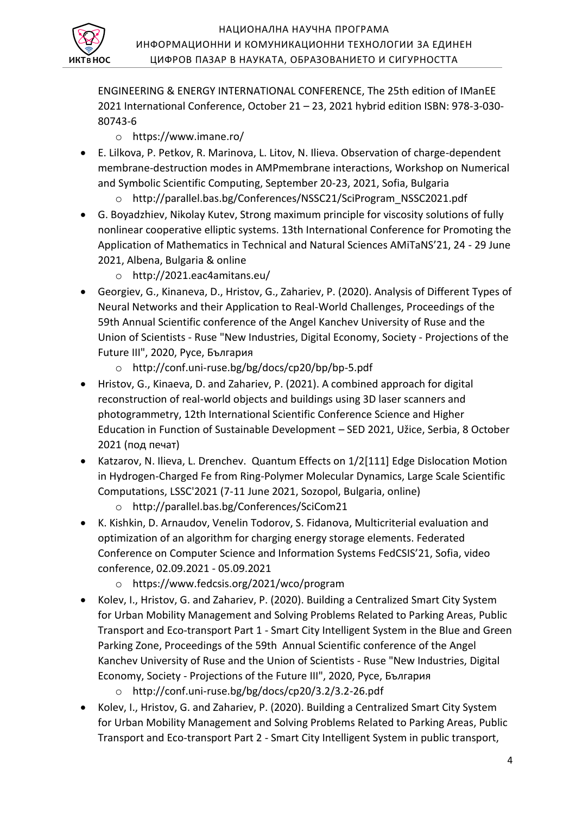

ENGINEERING & ENERGY INTERNATIONAL CONFERENCE, The 25th edition of IManEE 2021 International Conference, October 21 – 23, 2021 hybrid edition ISBN: 978-3-030- 80743-6

- o https://www.imane.ro/
- E. Lilkova, P. Petkov, R. Marinova, L. Litov, N. Ilieva. Observation of charge-dependent membrane-destruction modes in AMPmembrane interactions, Workshop on Numerical and Symbolic Scientific Computing, September 20-23, 2021, Sofia, Bulgaria
	- o http://parallel.bas.bg/Conferences/NSSC21/SciProgram\_NSSC2021.pdf
- G. Boyadzhiev, Nikolay Kutev, Strong maximum principle for viscosity solutions of fully nonlinear cooperative elliptic systems. 13th International Conference for Promoting the Application of Mathematics in Technical and Natural Sciences AMiTaNS'21, 24 - 29 June 2021, Albena, Bulgaria & online
	- o http://2021.eac4amitans.eu/
- Georgiev, G., Kinaneva, D., Hristov, G., Zahariev, P. (2020). Analysis of Different Types of Neural Networks and their Application to Real-World Challenges, Proceedings of the 59th Annual Scientific conference of the Angel Kanchev University of Ruse and the Union of Scientists - Ruse "New Industries, Digital Economy, Society - Projections of the Future III", 2020, Русе, България
	- o http://conf.uni-ruse.bg/bg/docs/cp20/bp/bp-5.pdf
- Hristov, G., Kinaeva, D. and Zahariev, P. (2021). A combined approach for digital reconstruction of real-world objects and buildings using 3D laser scanners and photogrammetry, 12th International Scientific Conference Science and Higher Education in Function of Sustainable Development – SED 2021, Užice, Serbia, 8 October 2021 (под печат)
- Katzarov, N. Ilieva, L. Drenchev. Quantum Effects on 1/2[111] Edge Dislocation Motion in Hydrogen-Charged Fe from Ring-Polymer Molecular Dynamics, Large Scale Scientific Computations, LSSC'2021 (7-11 June 2021, Sozopol, Bulgaria, online)
	- o http://parallel.bas.bg/Conferences/SciCom21
- K. Kishkin, D. Arnaudov, Venelin Todorov, S. Fidanova, Multicriterial evaluation and optimization of an algorithm for charging energy storage elements. Federated Conference on Computer Science and Information Systems FedCSIS'21, Sofia, video conference, 02.09.2021 - 05.09.2021
	- o https://www.fedcsis.org/2021/wco/program
- Kolev, I., Hristov, G. and Zahariev, P. (2020). Building a Centralized Smart City System for Urban Mobility Management and Solving Problems Related to Parking Areas, Public Transport and Eco-transport Part 1 - Smart City Intelligent System in the Blue and Green Parking Zone, Proceedings of the 59th Annual Scientific conference of the Angel Kanchev University of Ruse and the Union of Scientists - Ruse "New Industries, Digital Economy, Society - Projections of the Future III", 2020, Русе, България
	- o http://conf.uni-ruse.bg/bg/docs/cp20/3.2/3.2-26.pdf
- Kolev, I., Hristov, G. and Zahariev, P. (2020). Building a Centralized Smart City System for Urban Mobility Management and Solving Problems Related to Parking Areas, Public Transport and Eco-transport Part 2 - Smart City Intelligent System in public transport,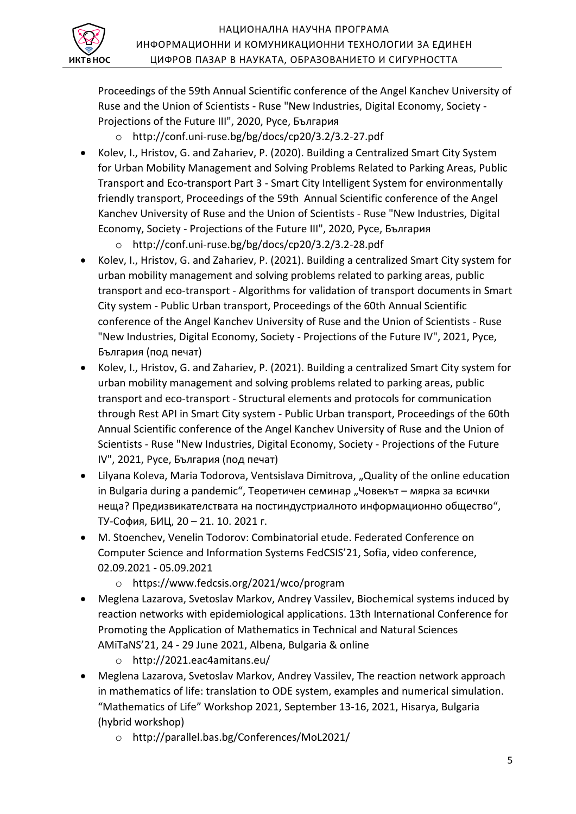

Proceedings of the 59th Annual Scientific conference of the Angel Kanchev University of Ruse and the Union of Scientists - Ruse "New Industries, Digital Economy, Society - Projections of the Future III", 2020, Русе, България

- o http://conf.uni-ruse.bg/bg/docs/cp20/3.2/3.2-27.pdf
- Kolev, I., Hristov, G. and Zahariev, P. (2020). Building a Centralized Smart City System for Urban Mobility Management and Solving Problems Related to Parking Areas, Public Transport and Eco-transport Part 3 - Smart City Intelligent System for environmentally friendly transport, Proceedings of the 59th Annual Scientific conference of the Angel Kanchev University of Ruse and the Union of Scientists - Ruse "New Industries, Digital Economy, Society - Projections of the Future III", 2020, Русе, България
	- o http://conf.uni-ruse.bg/bg/docs/cp20/3.2/3.2-28.pdf
- Kolev, I., Hristov, G. and Zahariev, P. (2021). Building a centralized Smart City system for urban mobility management and solving problems related to parking areas, public transport and eco-transport - Algorithms for validation of transport documents in Smart City system - Public Urban transport, Proceedings of the 60th Annual Scientific conference of the Angel Kanchev University of Ruse and the Union of Scientists - Ruse "New Industries, Digital Economy, Society - Projections of the Future IV", 2021, Русе, България (под печат)
- Kolev, I., Hristov, G. and Zahariev, P. (2021). Building a centralized Smart City system for urban mobility management and solving problems related to parking areas, public transport and eco-transport - Structural elements and protocols for communication through Rest API in Smart City system - Public Urban transport, Proceedings of the 60th Annual Scientific conference of the Angel Kanchev University of Ruse and the Union of Scientists - Ruse "New Industries, Digital Economy, Society - Projections of the Future IV", 2021, Русе, България (под печат)
- Lilyana Koleva, Maria Todorova, Ventsislava Dimitrova, "Quality of the online education in Bulgaria during a pandemic", Теоретичен семинар "Човекът – мярка за всички неща? Предизвикателствата на постиндустриалното информационно общество", ТУ-София, БИЦ, 20 – 21. 10. 2021 г.
- M. Stoenchev, Venelin Todorov: Combinatorial etude. Federated Conference on Computer Science and Information Systems FedCSIS'21, Sofia, video conference, 02.09.2021 - 05.09.2021
	- o https://www.fedcsis.org/2021/wco/program
- Meglena Lazarova, Svetoslav Markov, Andrey Vassilev, Biochemical systems induced by reaction networks with epidemiological applications. 13th International Conference for Promoting the Application of Mathematics in Technical and Natural Sciences AMiTaNS'21, 24 - 29 June 2021, Albena, Bulgaria & online
	- o http://2021.eac4amitans.eu/
- Meglena Lazarova, Svetoslav Markov, Andrey Vassilev, The reaction network approach in mathematics of life: translation to ODE system, examples and numerical simulation. "Mathematics of Life" Workshop 2021, September 13-16, 2021, Hisarya, Bulgaria (hybrid workshop)
	- o http://parallel.bas.bg/Conferences/MoL2021/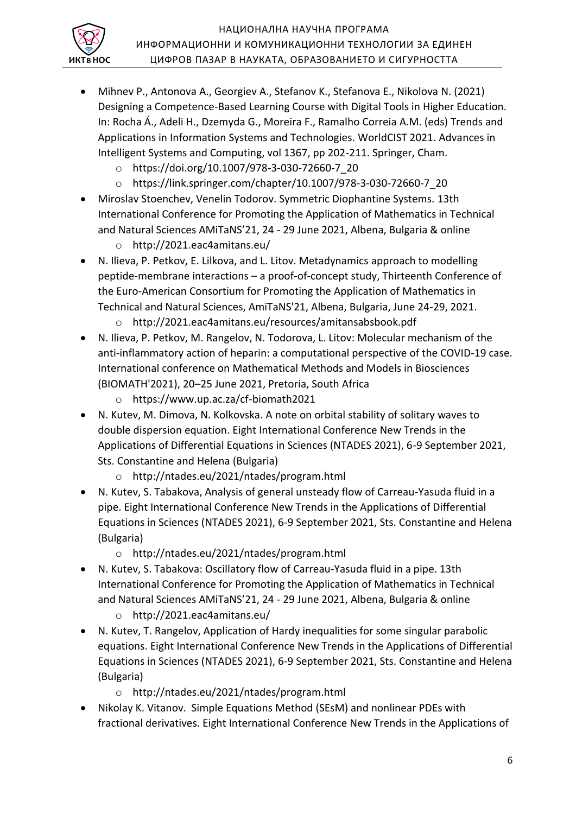

- Mihnev P., Antonova A., Georgiev A., Stefanov K., Stefanova E., Nikolova N. (2021) Designing a Competence-Based Learning Course with Digital Tools in Higher Education. In: Rocha Á., Adeli H., Dzemyda G., Moreira F., Ramalho Correia A.M. (eds) Trends and Applications in Information Systems and Technologies. WorldCIST 2021. Advances in Intelligent Systems and Computing, vol 1367, pp 202-211. Springer, Cham.
	- o https://doi.org/10.1007/978-3-030-72660-7\_20
	- o https://link.springer.com/chapter/10.1007/978-3-030-72660-7\_20
- Miroslav Stoenchev, Venelin Todorov. Symmetric Diophantine Systems. 13th International Conference for Promoting the Application of Mathematics in Technical and Natural Sciences AMiTaNS'21, 24 - 29 June 2021, Albena, Bulgaria & online
	- o http://2021.eac4amitans.eu/
- N. Ilieva, P. Petkov, E. Lilkova, and L. Litov. Metadynamics approach to modelling peptide-membrane interactions – a proof-of-concept study, Thirteenth Conference of the Euro-American Consortium for Promoting the Application of Mathematics in Technical and Natural Sciences, AmiTaNS'21, Albena, Bulgaria, June 24-29, 2021.
	- o http://2021.eac4amitans.eu/resources/amitansabsbook.pdf
- N. Ilieva, P. Petkov, M. Rangelov, N. Todorova, L. Litov: Molecular mechanism of the anti-inflammatory action of heparin: a computational perspective of the COVID-19 case. International conference on Mathematical Methods and Models in Biosciences (BIOMATH'2021), 20–25 June 2021, Pretoria, South Africa
	- o https://www.up.ac.za/cf-biomath2021
- N. Kutev, M. Dimova, N. Kolkovska. A note on orbital stability of solitary waves to double dispersion equation. Eight International Conference New Trends in the Applications of Differential Equations in Sciences (NTADES 2021), 6-9 September 2021, Sts. Constantine and Helena (Bulgaria)
	- o http://ntades.eu/2021/ntades/program.html
- N. Kutev, S. Tabakova, Analysis of general unsteady flow of Carreau-Yasuda fluid in a pipe. Eight International Conference New Trends in the Applications of Differential Equations in Sciences (NTADES 2021), 6-9 September 2021, Sts. Constantine and Helena (Bulgaria)
	- o http://ntades.eu/2021/ntades/program.html
- N. Kutev, S. Tabakova: Oscillatory flow of Carreau-Yasuda fluid in a pipe. 13th International Conference for Promoting the Application of Mathematics in Technical and Natural Sciences AMiTaNS'21, 24 - 29 June 2021, Albena, Bulgaria & online
	- o http://2021.eac4amitans.eu/
- N. Kutev, T. Rangelov, Application of Hardy inequalities for some singular parabolic equations. Eight International Conference New Trends in the Applications of Differential Equations in Sciences (NTADES 2021), 6-9 September 2021, Sts. Constantine and Helena (Bulgaria)
	- o http://ntades.eu/2021/ntades/program.html
- Nikolay K. Vitanov. Simple Equations Method (SEsM) and nonlinear PDEs with fractional derivatives. Eight International Conference New Trends in the Applications of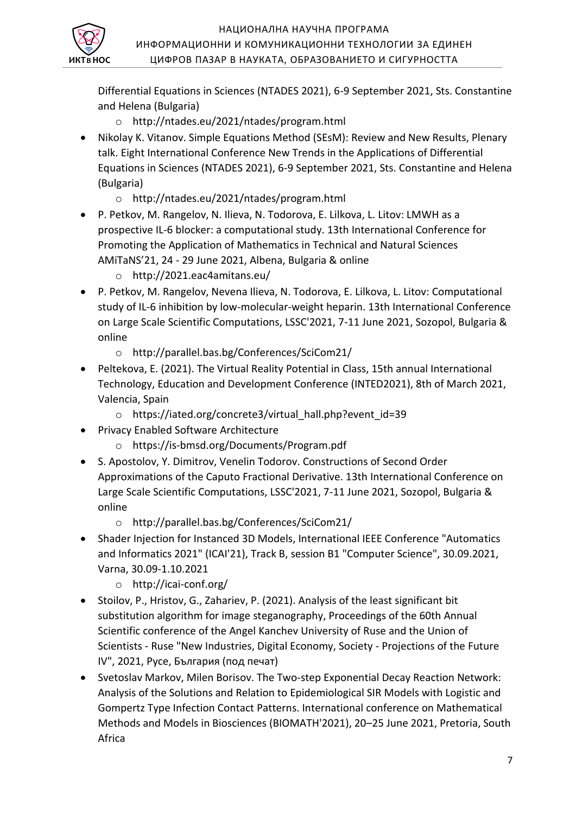Differential Equations in Sciences (NTADES 2021), 6-9 September 2021, Sts. Constantine and Helena (Bulgaria)

- o http://ntades.eu/2021/ntades/program.html
- Nikolay K. Vitanov. Simple Equations Method (SEsM): Review and New Results, Plenary talk. Eight International Conference New Trends in the Applications of Differential Equations in Sciences (NTADES 2021), 6-9 September 2021, Sts. Constantine and Helena (Bulgaria)
	- o http://ntades.eu/2021/ntades/program.html
- P. Petkov, M. Rangelov, N. Ilieva, N. Todorova, E. Lilkova, L. Litov: LMWH as a prospective IL-6 blocker: a computational study. 13th International Conference for Promoting the Application of Mathematics in Technical and Natural Sciences AMiTaNS'21, 24 - 29 June 2021, Albena, Bulgaria & online
	- o http://2021.eac4amitans.eu/

 $\bar{\textbf{B}}$  НОС

- P. Petkov, M. Rangelov, Nevena Ilieva, N. Todorova, E. Lilkova, L. Litov: Computational study of IL-6 inhibition by low-molecular-weight heparin. 13th International Conference on Large Scale Scientific Computations, LSSC'2021, 7-11 June 2021, Sozopol, Bulgaria & online
	- o http://parallel.bas.bg/Conferences/SciCom21/
- Peltekova, E. (2021). The Virtual Reality Potential in Class, 15th annual International Technology, Education and Development Conference (INTED2021), 8th of March 2021, Vаlencia, Spain
	- o https://iated.org/concrete3/virtual\_hall.php?event\_id=39
- Privacy Enabled Software Architecture
	- o https://is-bmsd.org/Documents/Program.pdf
- S. Apostolov, Y. Dimitrov, Venelin Todorov. Constructions of Second Order Approximations of the Caputo Fractional Derivative. 13th International Conference on Large Scale Scientific Computations, LSSC'2021, 7-11 June 2021, Sozopol, Bulgaria & online
	- o http://parallel.bas.bg/Conferences/SciCom21/
- Shader Injection for Instanced 3D Models, International IEEE Conference "Automatics and Informatics 2021" (ICAI'21), Track B, session B1 "Computer Science", 30.09.2021, Varna, 30.09-1.10.2021
	- o http://icai-conf.org/
- Stoilov, P., Hristov, G., Zahariev, P. (2021). Analysis of the least significant bit substitution algorithm for image steganography, Proceedings of the 60th Annual Scientific conference of the Angel Kanchev University of Ruse and the Union of Scientists - Ruse "New Industries, Digital Economy, Society - Projections of the Future IV", 2021, Русе, България (под печат)
- Svetoslav Markov, Milen Borisov. The Two-step Exponential Decay Reaction Network: Analysis of the Solutions and Relation to Epidemiological SIR Models with Logistic and Gompertz Type Infection Contact Patterns. International conference on Mathematical Methods and Models in Biosciences (BIOMATH'2021), 20–25 June 2021, Pretoria, South Africa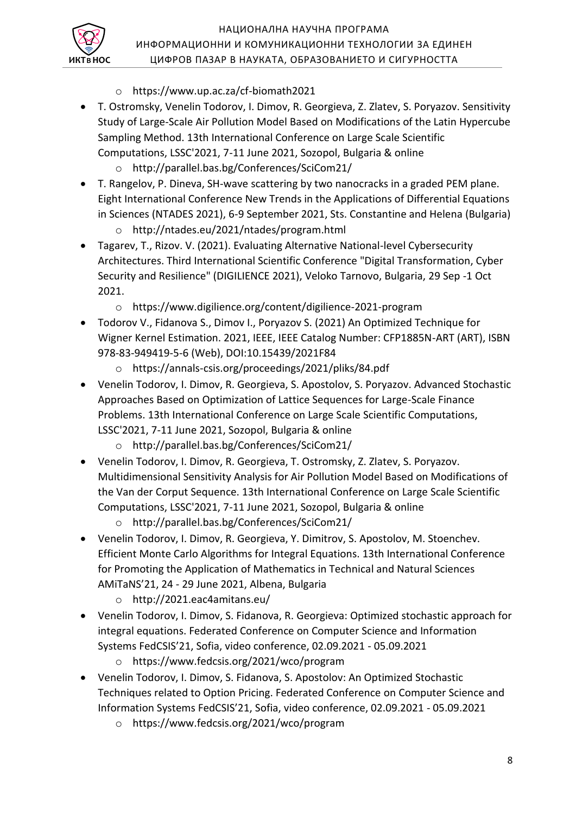

- o https://www.up.ac.za/cf-biomath2021
- T. Ostromsky, Venelin Todorov, I. Dimov, R. Georgieva, Z. Zlatev, S. Poryazov. Sensitivity Study of Large-Scale Air Pollution Model Based on Modifications of the Latin Hypercube Sampling Method. 13th International Conference on Large Scale Scientific Computations, LSSC'2021, 7-11 June 2021, Sozopol, Bulgaria & online
	- o http://parallel.bas.bg/Conferences/SciCom21/
- T. Rangelov, P. Dineva, SH-wave scattering by two nanocracks in a graded PEM plane. Eight International Conference New Trends in the Applications of Differential Equations in Sciences (NTADES 2021), 6-9 September 2021, Sts. Constantine and Helena (Bulgaria)
	- o http://ntades.eu/2021/ntades/program.html
- Tagarev, T., Rizov. V. (2021). Evaluating Alternative National-level Cybersecurity Architectures. Third International Scientific Conference "Digital Transformation, Cyber Security and Resilience" (DIGILIENCE 2021), Veloko Tarnovo, Bulgaria, 29 Sep -1 Oct 2021.
	- o https://www.digilience.org/content/digilience-2021-program
- Todorov V., Fidanova S., Dimov I., Poryazov S. (2021) An Optimized Technique for Wigner Kernel Estimation. 2021, IEEE, IEEE Catalog Number: CFP1885N-ART (ART), ISBN 978-83-949419-5-6 (Web), DOI:10.15439/2021F84
	- o https://annals-csis.org/proceedings/2021/pliks/84.pdf
- Venelin Todorov, I. Dimov, R. Georgieva, S. Apostolov, S. Poryazov. Advanced Stochastic Approaches Based on Optimization of Lattice Sequences for Large-Scale Finance Problems. 13th International Conference on Large Scale Scientific Computations, LSSC'2021, 7-11 June 2021, Sozopol, Bulgaria & online
	- o http://parallel.bas.bg/Conferences/SciCom21/
- Venelin Todorov, I. Dimov, R. Georgieva, T. Ostromsky, Z. Zlatev, S. Poryazov. Multidimensional Sensitivity Analysis for Air Pollution Model Based on Modifications of the Van der Corput Sequence. 13th International Conference on Large Scale Scientific Computations, LSSC'2021, 7-11 June 2021, Sozopol, Bulgaria & online
	- o http://parallel.bas.bg/Conferences/SciCom21/
- Venelin Todorov, I. Dimov, R. Georgieva, Y. Dimitrov, S. Apostolov, M. Stoenchev. Efficient Monte Carlo Algorithms for Integral Equations. 13th International Conference for Promoting the Application of Mathematics in Technical and Natural Sciences AMiTaNS'21, 24 - 29 June 2021, Albena, Bulgaria
	- o http://2021.eac4amitans.eu/
- Venelin Todorov, I. Dimov, S. Fidanova, R. Georgieva: Optimized stochastic approach for integral equations. Federated Conference on Computer Science and Information Systems FedCSIS'21, Sofia, video conference, 02.09.2021 - 05.09.2021
	- o https://www.fedcsis.org/2021/wco/program
- Venelin Todorov, I. Dimov, S. Fidanova, S. Apostolov: An Optimized Stochastic Techniques related to Option Pricing. Federated Conference on Computer Science and Information Systems FedCSIS'21, Sofia, video conference, 02.09.2021 - 05.09.2021
	- o https://www.fedcsis.org/2021/wco/program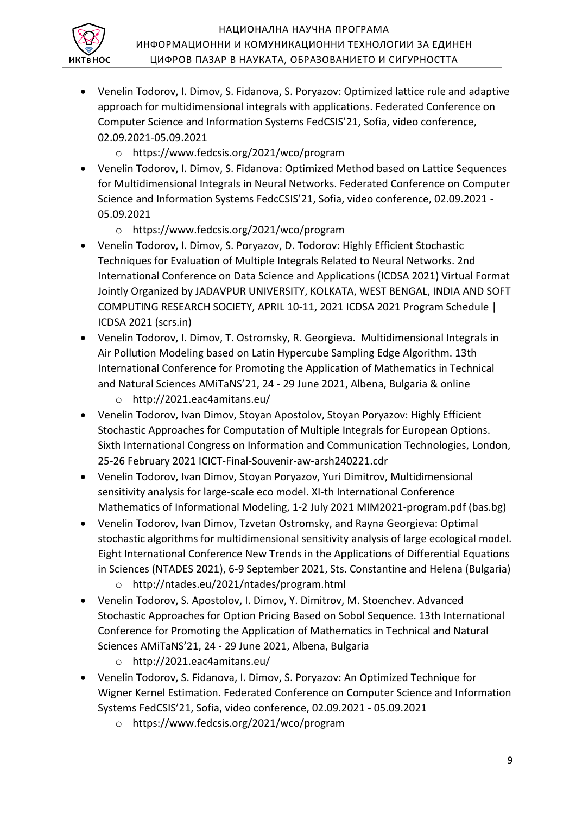

- Venelin Todorov, I. Dimov, S. Fidanova, S. Poryazov: Optimized lattice rule and adaptive approach for multidimensional integrals with applications. Federated Conference on Computer Science and Information Systems FedCSIS'21, Sofia, video conference, 02.09.2021-05.09.2021
	- o https://www.fedcsis.org/2021/wco/program
- Venelin Todorov, I. Dimov, S. Fidanova: Optimized Method based on Lattice Sequences for Multidimensional Integrals in Neural Networks. Federated Conference on Computer Science and Information Systems FedcCSIS'21, Sofia, video conference, 02.09.2021 - 05.09.2021
	- o https://www.fedcsis.org/2021/wco/program
- Venelin Todorov, I. Dimov, S. Poryazov, D. Todorov: Highly Efficient Stochastic Techniques for Evaluation of Multiple Integrals Related to Neural Networks. 2nd International Conference on Data Science and Applications (ICDSA 2021) Virtual Format Jointly Organized by JADAVPUR UNIVERSITY, KOLKATA, WEST BENGAL, INDIA AND SOFT COMPUTING RESEARCH SOCIETY, APRIL 10-11, 2021 ICDSA 2021 Program Schedule | ICDSA 2021 (scrs.in)
- Venelin Todorov, I. Dimov, T. Ostromsky, R. Georgieva. Multidimensional Integrals in Air Pollution Modeling based on Latin Hypercube Sampling Edge Algorithm. 13th International Conference for Promoting the Application of Mathematics in Technical and Natural Sciences AMiTaNS'21, 24 - 29 June 2021, Albena, Bulgaria & online
	- o http://2021.eac4amitans.eu/
- Venelin Todorov, Ivan Dimov, Stoyan Apostolov, Stoyan Poryazov: Highly Efficient Stochastic Approaches for Computation of Multiple Integrals for European Options. Sixth International Congress on Information and Communication Technologies, London, 25-26 February 2021 ICICT-Final-Souvenir-aw-arsh240221.cdr
- Venelin Todorov, Ivan Dimov, Stoyan Poryazov, Yuri Dimitrov, Multidimensional sensitivity analysis for large-scale eco model. XI-th International Conference Mathematics of Informational Modeling, 1-2 July 2021 MIM2021-program.pdf (bas.bg)
- Venelin Todorov, Ivan Dimov, Tzvetan Ostromsky, and Rayna Georgieva: Optimal stochastic algorithms for multidimensional sensitivity analysis of large ecological model. Eight International Conference New Trends in the Applications of Differential Equations in Sciences (NTADES 2021), 6-9 September 2021, Sts. Constantine and Helena (Bulgaria)
	- o http://ntades.eu/2021/ntades/program.html
- Venelin Todorov, S. Apostolov, I. Dimov, Y. Dimitrov, M. Stoenchev. Advanced Stochastic Approaches for Option Pricing Based on Sobol Sequence. 13th International Conference for Promoting the Application of Mathematics in Technical and Natural Sciences AMiTaNS'21, 24 - 29 June 2021, Albena, Bulgaria
	- o http://2021.eac4amitans.eu/
- Venelin Todorov, S. Fidanova, I. Dimov, S. Poryazov: An Optimized Technique for Wigner Kernel Estimation. Federated Conference on Computer Science and Information Systems FedCSIS'21, Sofia, video conference, 02.09.2021 - 05.09.2021
	- o https://www.fedcsis.org/2021/wco/program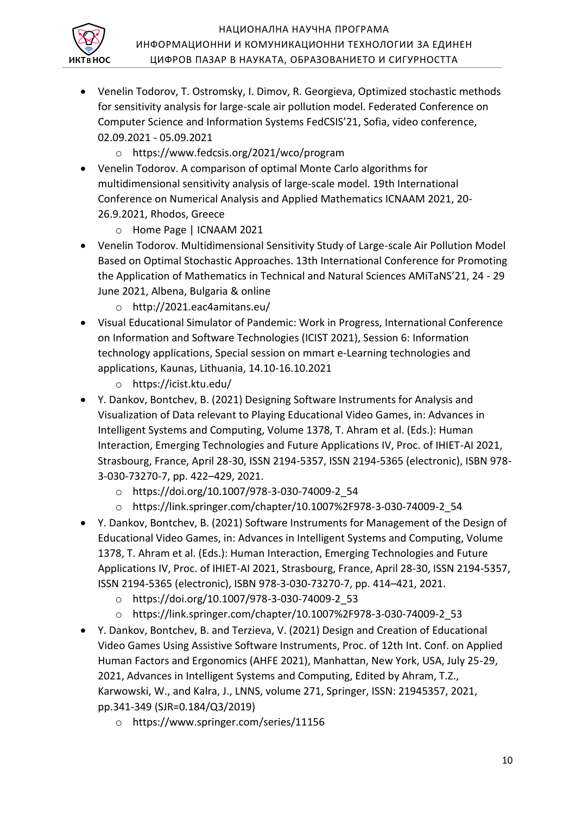

#### НАЦИОНАЛНА НАУЧНА ПРОГРАМА ИНФОРМАЦИОННИ И КОМУНИКАЦИОННИ ТЕХНОЛОГИИ ЗА ЕДИНЕН ЦИФРОВ ПАЗАР В НАУКАТА, ОБРАЗОВАНИЕТО И СИГУРНОСТТА

- Venelin Todorov, T. Ostromsky, I. Dimov, R. Georgieva, Optimized stochastic methods for sensitivity analysis for large-scale air pollution model. Federated Conference on Computer Science and Information Systems FedCSIS'21, Sofia, video conference, 02.09.2021 - 05.09.2021
	- o https://www.fedcsis.org/2021/wco/program
- Venelin Todorov. A comparison of optimal Monte Carlo algorithms for multidimensional sensitivity analysis of large-scale model. 19th International Conference on Numerical Analysis and Applied Mathematics ICNAAM 2021, 20- 26.9.2021, Rhodos, Greece
	- o Home Page | ICNAAM 2021
- Venelin Todorov. Multidimensional Sensitivity Study of Large-scale Air Pollution Model Based on Optimal Stochastic Approaches. 13th International Conference for Promoting the Application of Mathematics in Technical and Natural Sciences AMiTaNS'21, 24 - 29 June 2021, Albena, Bulgaria & online
	- o http://2021.eac4amitans.eu/
- Visual Educational Simulator of Pandemic: Work in Progress, International Conference on Information and Software Technologies (ICIST 2021), Session 6: Information technology applications, Special session on mmart e-Learning technologies and applications, Kaunas, Lithuania, 14.10-16.10.2021
	- o https://icist.ktu.edu/
- Y. Dankov, Bontchev, B. (2021) Designing Software Instruments for Analysis and Visualization of Data relevant to Playing Educational Video Games, in: Advances in Intelligent Systems and Computing, Volume 1378, T. Ahram et al. (Eds.): Human Interaction, Emerging Technologies and Future Applications IV, Proc. of IHIET-AI 2021, Strasbourg, France, April 28-30, ISSN 2194-5357, ISSN 2194-5365 (electronic), ISBN 978- 3-030-73270-7, pp. 422–429, 2021.
	- o https://doi.org/10.1007/978-3-030-74009-2\_54
	- o https://link.springer.com/chapter/10.1007%2F978-3-030-74009-2\_54
- Y. Dankov, Bontchev, B. (2021) Software Instruments for Management of the Design of Educational Video Games, in: Advances in Intelligent Systems and Computing, Volume 1378, T. Ahram et al. (Eds.): Human Interaction, Emerging Technologies and Future Applications IV, Proc. of IHIET-AI 2021, Strasbourg, France, April 28-30, ISSN 2194-5357, ISSN 2194-5365 (electronic), ISBN 978-3-030-73270-7, pp. 414–421, 2021.
	- o https://doi.org/10.1007/978-3-030-74009-2\_53
	- o https://link.springer.com/chapter/10.1007%2F978-3-030-74009-2\_53
- Y. Dankov, Bontchev, B. and Terzieva, V. (2021) Design and Creation of Educational Video Games Using Assistive Software Instruments, Proc. of 12th Int. Conf. on Applied Human Factors and Ergonomics (AHFE 2021), Manhattan, New York, USA, July 25-29, 2021, Advances in Intelligent Systems and Computing, Edited by Ahram, T.Z., Karwowski, W., and Kalra, J., LNNS, volume 271, Springer, ISSN: 21945357, 2021, pp.341-349 (SJR=0.184/Q3/2019)
	- o https://www.springer.com/series/11156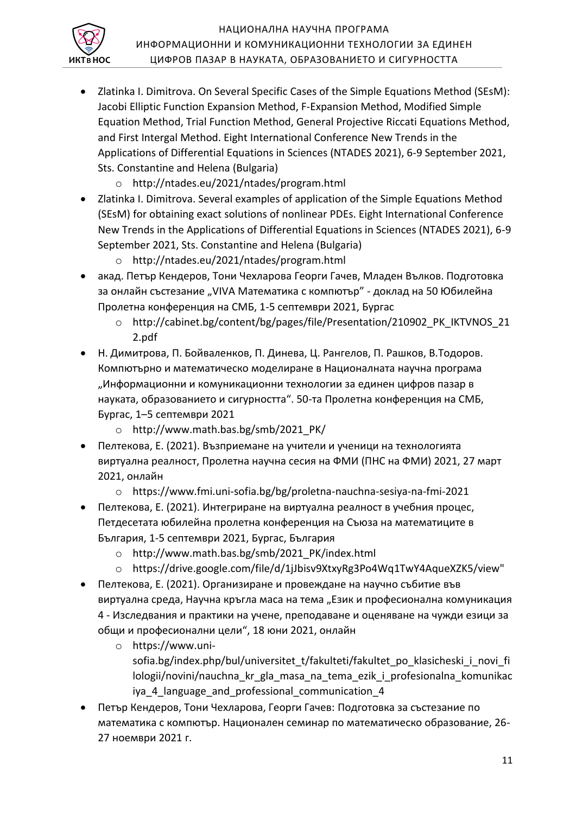

- Zlatinka I. Dimitrova. On Several Specific Cases of the Simple Equations Method (SEsM): Jacobi Elliptic Function Expansion Method, F-Expansion Method, Modified Simple Equation Method, Trial Function Method, General Projective Riccati Equations Method, and First Intergal Method. Eight International Conference New Trends in the Applications of Differential Equations in Sciences (NTADES 2021), 6-9 September 2021, Sts. Constantine and Helena (Bulgaria)
	- o http://ntades.eu/2021/ntades/program.html
- Zlatinka I. Dimitrova. Several examples of application of the Simple Equations Method (SEsM) for obtaining exact solutions of nonlinear PDEs. Eight International Conference New Trends in the Applications of Differential Equations in Sciences (NTADES 2021), 6-9 September 2021, Sts. Constantine and Helena (Bulgaria)
	- o http://ntades.eu/2021/ntades/program.html
- акад. Петър Кендеров, Тони Чехларова Георги Гачев, Младен Вълков. Подготовка за онлайн състезание "VIVA Математика с компютър" - доклад на 50 Юбилейна Пролетна конференция на СМБ, 1-5 септември 2021, Бургас
	- o http://cabinet.bg/content/bg/pages/file/Presentation/210902\_PK\_IKTVNOS\_21 2.pdf
- Н. Димитрова, П. Бойваленков, П. Динева, Ц. Рангелов, П. Рашков, В.Тодоров. Компютърно и математическо моделиране в Националната научна програма "Информационни и комуникационни технологии за единен цифров пазар в науката, образованието и сигурността". 50-та Пролетна конференция на СМБ, Бургас, 1–5 септември 2021
	- o http://www.math.bas.bg/smb/2021\_PK/
- Пелтекова, Е. (2021). Възприемане на учители и ученици на технологията виртуална реалност, Пролетна научна сесия на ФМИ (ПНС на ФМИ) 2021, 27 март 2021, онлайн
	- o https://www.fmi.uni-sofia.bg/bg/proletna-nauchna-sesiya-na-fmi-2021
- Пелтекова, Е. (2021). Интегриране на виртуална реалност в учебния процес, Петдесетата юбилейна пролетна конференция на Съюза на математиците в България, 1-5 септември 2021, Бургас, България
	- o http://www.math.bas.bg/smb/2021\_PK/index.html
	- o https://drive.google.com/file/d/1jJbisv9XtxyRg3Po4Wq1TwY4AqueXZK5/view"
- Пелтекова, Е. (2021). Организиране и провеждане на научно събитие във виртуална среда, Научна кръгла маса на тема "Език и професионална комуникация 4 - Изследвания и практики на учене, преподаване и оценяване на чужди езици за общи и професионални цели", 18 юни 2021, онлайн
	- o https://www.unisofia.bg/index.php/bul/universitet t/fakulteti/fakultet po\_klasicheski\_i\_novi\_fi lologii/novini/nauchna\_kr\_gla\_masa\_na\_tema\_ezik\_i\_profesionalna\_komunikac iya\_4\_language\_and\_professional\_communication\_4
- Петър Кендеров, Тони Чехларова, Георги Гачев: Подготовка за състезание по математика с компютър. Национален семинар по математическо образование, 26- 27 ноември 2021 г.